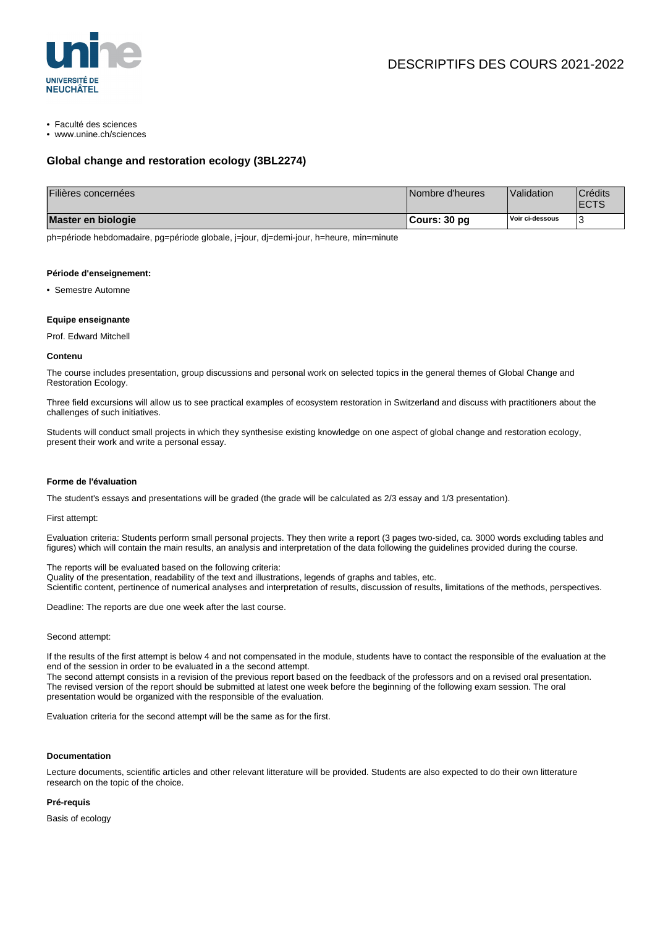

• Faculté des sciences

• www.unine.ch/sciences

# **Global change and restoration ecology (3BL2274)**

| Filières concernées | Nombre d'heures | Validation      | <b>Crédits</b><br><b>ECTS</b> |
|---------------------|-----------------|-----------------|-------------------------------|
| Master en biologie  | ∣Cours: 30 pq   | Voir ci-dessous |                               |

ph=période hebdomadaire, pg=période globale, j=jour, dj=demi-jour, h=heure, min=minute

#### **Période d'enseignement:**

• Semestre Automne

## **Equipe enseignante**

Prof. Edward Mitchell

#### **Contenu**

The course includes presentation, group discussions and personal work on selected topics in the general themes of Global Change and Restoration Ecology.

Three field excursions will allow us to see practical examples of ecosystem restoration in Switzerland and discuss with practitioners about the challenges of such initiatives.

Students will conduct small projects in which they synthesise existing knowledge on one aspect of global change and restoration ecology, present their work and write a personal essay.

## **Forme de l'évaluation**

The student's essays and presentations will be graded (the grade will be calculated as 2/3 essay and 1/3 presentation).

## First attempt:

Evaluation criteria: Students perform small personal projects. They then write a report (3 pages two-sided, ca. 3000 words excluding tables and figures) which will contain the main results, an analysis and interpretation of the data following the guidelines provided during the course.

The reports will be evaluated based on the following criteria: Quality of the presentation, readability of the text and illustrations, legends of graphs and tables, etc. Scientific content, pertinence of numerical analyses and interpretation of results, discussion of results, limitations of the methods, perspectives.

Deadline: The reports are due one week after the last course.

#### Second attempt:

If the results of the first attempt is below 4 and not compensated in the module, students have to contact the responsible of the evaluation at the end of the session in order to be evaluated in a the second attempt.

The second attempt consists in a revision of the previous report based on the feedback of the professors and on a revised oral presentation. The revised version of the report should be submitted at latest one week before the beginning of the following exam session. The oral presentation would be organized with the responsible of the evaluation.

Evaluation criteria for the second attempt will be the same as for the first.

#### **Documentation**

Lecture documents, scientific articles and other relevant litterature will be provided. Students are also expected to do their own litterature research on the topic of the choice.

## **Pré-requis**

Basis of ecology